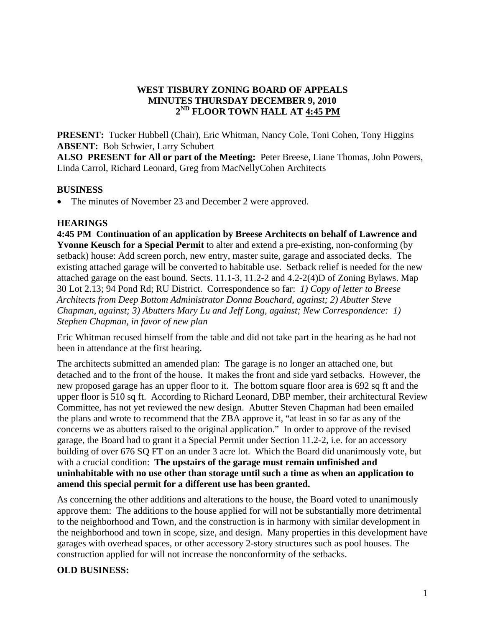### **WEST TISBURY ZONING BOARD OF APPEALS MINUTES THURSDAY DECEMBER 9, 2010 2ND FLOOR TOWN HALL AT 4:45 PM**

**PRESENT:** Tucker Hubbell (Chair), Eric Whitman, Nancy Cole, Toni Cohen, Tony Higgins **ABSENT:** Bob Schwier, Larry Schubert

**ALSO PRESENT for All or part of the Meeting:** Peter Breese, Liane Thomas, John Powers, Linda Carrol, Richard Leonard, Greg from MacNellyCohen Architects

## **BUSINESS**

• The minutes of November 23 and December 2 were approved.

#### **HEARINGS**

**4:45 PM Continuation of an application by Breese Architects on behalf of Lawrence and Yvonne Keusch for a Special Permit** to alter and extend a pre-existing, non-conforming (by setback) house: Add screen porch, new entry, master suite, garage and associated decks. The existing attached garage will be converted to habitable use. Setback relief is needed for the new attached garage on the east bound. Sects. 11.1-3, 11.2-2 and 4.2-2(4)D of Zoning Bylaws. Map 30 Lot 2.13; 94 Pond Rd; RU District. Correspondence so far: *1) Copy of letter to Breese Architects from Deep Bottom Administrator Donna Bouchard, against; 2) Abutter Steve Chapman, against; 3) Abutters Mary Lu and Jeff Long, against; New Correspondence: 1) Stephen Chapman, in favor of new plan* 

Eric Whitman recused himself from the table and did not take part in the hearing as he had not been in attendance at the first hearing.

The architects submitted an amended plan: The garage is no longer an attached one, but detached and to the front of the house. It makes the front and side yard setbacks. However, the new proposed garage has an upper floor to it. The bottom square floor area is 692 sq ft and the upper floor is 510 sq ft. According to Richard Leonard, DBP member, their architectural Review Committee, has not yet reviewed the new design. Abutter Steven Chapman had been emailed the plans and wrote to recommend that the ZBA approve it, "at least in so far as any of the concerns we as abutters raised to the original application." In order to approve of the revised garage, the Board had to grant it a Special Permit under Section 11.2-2, i.e. for an accessory building of over 676 SQ FT on an under 3 acre lot. Which the Board did unanimously vote, but with a crucial condition: **The upstairs of the garage must remain unfinished and uninhabitable with no use other than storage until such a time as when an application to amend this special permit for a different use has been granted.** 

As concerning the other additions and alterations to the house, the Board voted to unanimously approve them: The additions to the house applied for will not be substantially more detrimental to the neighborhood and Town, and the construction is in harmony with similar development in the neighborhood and town in scope, size, and design. Many properties in this development have garages with overhead spaces, or other accessory 2-story structures such as pool houses. The construction applied for will not increase the nonconformity of the setbacks.

## **OLD BUSINESS:**